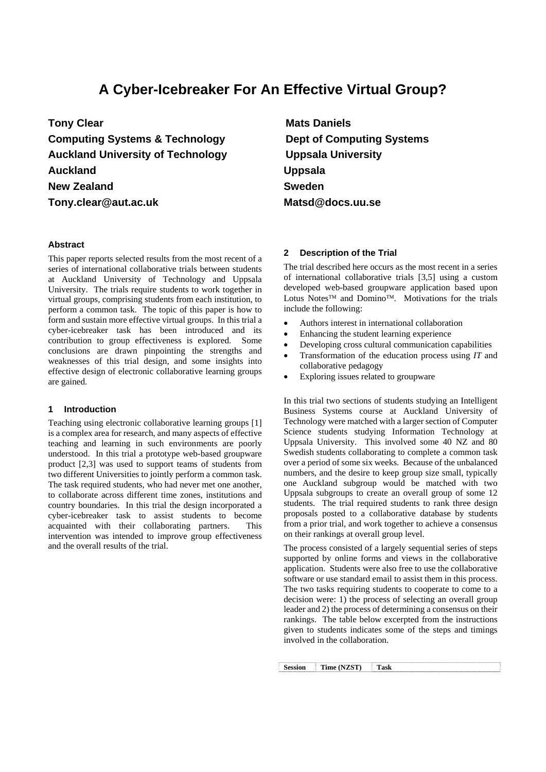# **A Cyber-Icebreaker For An Effective Virtual Group?**

**Tony Clear Computing Systems & Technology Auckland University of Technology Auckland New Zealand Tony.clear@aut.ac.uk** 

## **Abstract**

This paper reports selected results from the most recent of a series of international collaborative trials between students at Auckland University of Technology and Uppsala University. The trials require students to work together in virtual groups, comprising students from each institution, to perform a common task. The topic of this paper is how to form and sustain more effective virtual groups. In this trial a cyber-icebreaker task has been introduced and its contribution to group effectiveness is explored. Some conclusions are drawn pinpointing the strengths and weaknesses of this trial design, and some insights into effective design of electronic collaborative learning groups are gained.

## **1 Introduction**

Teaching using electronic collaborative learning groups [1] is a complex area for research, and many aspects of effective teaching and learning in such environments are poorly understood. In this trial a prototype web-based groupware product [2,3] was used to support teams of students from two different Universities to jointly perform a common task. The task required students, who had never met one another, to collaborate across different time zones, institutions and country boundaries. In this trial the design incorporated a cyber-icebreaker task to assist students to become acquainted with their collaborating partners. This intervention was intended to improve group effectiveness and the overall results of the trial.

**Mats Daniels Dept of Computing Systems Uppsala University Uppsala Sweden Matsd@docs.uu.se** 

## **2 Description of the Trial**

The trial described here occurs as the most recent in a series of international collaborative trials [3,5] using a custom developed web-based groupware application based upon Lotus Notes™ and Domino™. Motivations for the trials include the following:

- Authors interest in international collaboration
- Enhancing the student learning experience
- Developing cross cultural communication capabilities
- Transformation of the education process using *IT* and collaborative pedagogy
- Exploring issues related to groupware

In this trial two sections of students studying an Intelligent Business Systems course at Auckland University of Technology were matched with a larger section of Computer Science students studying Information Technology at Uppsala University. This involved some 40 NZ and 80 Swedish students collaborating to complete a common task over a period of some six weeks. Because of the unbalanced numbers, and the desire to keep group size small, typically one Auckland subgroup would be matched with two Uppsala subgroups to create an overall group of some 12 students. The trial required students to rank three design proposals posted to a collaborative database by students from a prior trial, and work together to achieve a consensus on their rankings at overall group level.

The process consisted of a largely sequential series of steps supported by online forms and views in the collaborative application. Students were also free to use the collaborative software or use standard email to assist them in this process. The two tasks requiring students to cooperate to come to a decision were: 1) the process of selecting an overall group leader and 2) the process of determining a consensus on their rankings. The table below excerpted from the instructions given to students indicates some of the steps and timings involved in the collaboration.

**Session Time (NZST) Task**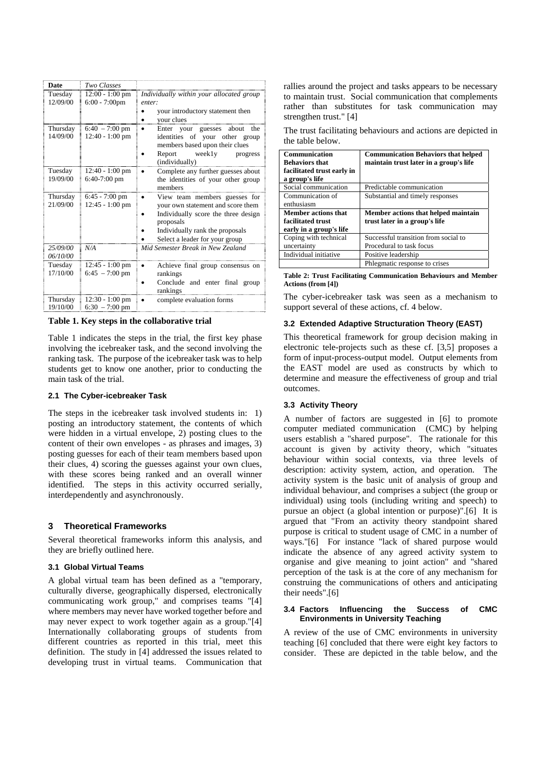| Date                 | Two Classes                           |                                                                                                                                                                                             |
|----------------------|---------------------------------------|---------------------------------------------------------------------------------------------------------------------------------------------------------------------------------------------|
| Tuesday<br>12/09/00  | 12:00 - 1:00 pm<br>$6:00 - 7:00$ pm   | Individually within your allocated group<br>enter:<br>your introductory statement then<br>vour clues                                                                                        |
| Thursday<br>14/09/00 | $6:40 - 7:00$ pm<br>$12:40 - 1:00$ pm | Enter your guesses<br>the<br>about<br>$\bullet$<br>identities of your other group<br>members based upon their clues<br>Report<br>weekly<br>progress<br>(individually)                       |
| Tuesday<br>19/09/00  | $12:40 - 1:00$ pm<br>$6:40-7:00$ pm   | Complete any further guesses about<br>the identities of your other group<br>members                                                                                                         |
| Thursday<br>21/09/00 | $6:45 - 7:00$ pm<br>$12:45 - 1:00$ pm | View team members guesses for<br>your own statement and score them<br>Individually score the three design<br>proposals<br>Individually rank the proposals<br>Select a leader for your group |
| 25/09/00<br>06/10/00 | N/A                                   | Mid Semester Break in New Zealand                                                                                                                                                           |
| Tuesday<br>17/10/00  | $12:45 - 1:00$ pm<br>$6:45 - 7:00$ pm | Achieve final group consensus on<br>rankings<br>Conclude and enter final group<br>rankings                                                                                                  |
| Thursday<br>19/10/00 | $12:30 - 1:00$ pm<br>$6:30 - 7:00$ pm | complete evaluation forms                                                                                                                                                                   |

**Table 1. Key steps in the collaborative trial** 

Table 1 indicates the steps in the trial, the first key phase involving the icebreaker task, and the second involving the ranking task. The purpose of the icebreaker task was to help students get to know one another, prior to conducting the main task of the trial.

#### **2.1 The Cyber-icebreaker Task**

The steps in the icebreaker task involved students in: 1) posting an introductory statement, the contents of which were hidden in a virtual envelope, 2) posting clues to the content of their own envelopes - as phrases and images, 3) posting guesses for each of their team members based upon their clues, 4) scoring the guesses against your own clues, with these scores being ranked and an overall winner identified. The steps in this activity occurred serially, interdependently and asynchronously.

## **3 Theoretical Frameworks**

Several theoretical frameworks inform this analysis, and they are briefly outlined here.

## **3.1 Global Virtual Teams**

A global virtual team has been defined as a "temporary, culturally diverse, geographically dispersed, electronically communicating work group," and comprises teams "[4] where members may never have worked together before and may never expect to work together again as a group."[4] Internationally collaborating groups of students from different countries as reported in this trial, meet this definition. The study in [4] addressed the issues related to developing trust in virtual teams. Communication that rallies around the project and tasks appears to be necessary to maintain trust. Social communication that complements rather than substitutes for task communication may strengthen trust." [4]

The trust facilitating behaviours and actions are depicted in the table below.

| <b>Communication</b><br><b>Behaviors that</b><br>facilitated trust early in<br>a group's life | <b>Communication Behaviors that helped</b><br>maintain trust later in a group's life |
|-----------------------------------------------------------------------------------------------|--------------------------------------------------------------------------------------|
| Social communication                                                                          | Predictable communication                                                            |
| Communication of<br>enthusiasm                                                                | Substantial and timely responses                                                     |
| <b>Member actions that</b><br>facilitated trust<br>early in a group's life                    | Member actions that helped maintain<br>trust later in a group's life                 |
| Coping with technical<br>uncertainty                                                          | Successful transition from social to<br>Procedural to task focus                     |
| Individual initiative                                                                         | Positive leadership                                                                  |
|                                                                                               | Phlegmatic response to crises                                                        |

**Table 2: Trust Facilitating Communication Behaviours and Member Actions (from [4])** 

The cyber-icebreaker task was seen as a mechanism to support several of these actions, cf. 4 below.

## **3.2 Extended Adaptive Structuration Theory (EAST)**

This theoretical framework for group decision making in electronic tele-projects such as these cf. [3,5] proposes a form of input-process-output model. Output elements from the EAST model are used as constructs by which to determine and measure the effectiveness of group and trial outcomes.

## **3.3 Activity Theory**

A number of factors are suggested in [6] to promote computer mediated communication (CMC) by helping users establish a "shared purpose". The rationale for this account is given by activity theory, which "situates behaviour within social contexts, via three levels of description: activity system, action, and operation. The activity system is the basic unit of analysis of group and individual behaviour, and comprises a subject (the group or individual) using tools (including writing and speech) to pursue an object (a global intention or purpose)".[6] It is argued that "From an activity theory standpoint shared purpose is critical to student usage of CMC in a number of ways."[6] For instance "lack of shared purpose would indicate the absence of any agreed activity system to organise and give meaning to joint action" and "shared perception of the task is at the core of any mechanism for construing the communications of others and anticipating their needs".[6]

#### **3.4 Factors Influencing the Success of CMC Environments in University Teaching**

A review of the use of CMC environments in university teaching [6] concluded that there were eight key factors to consider. These are depicted in the table below, and the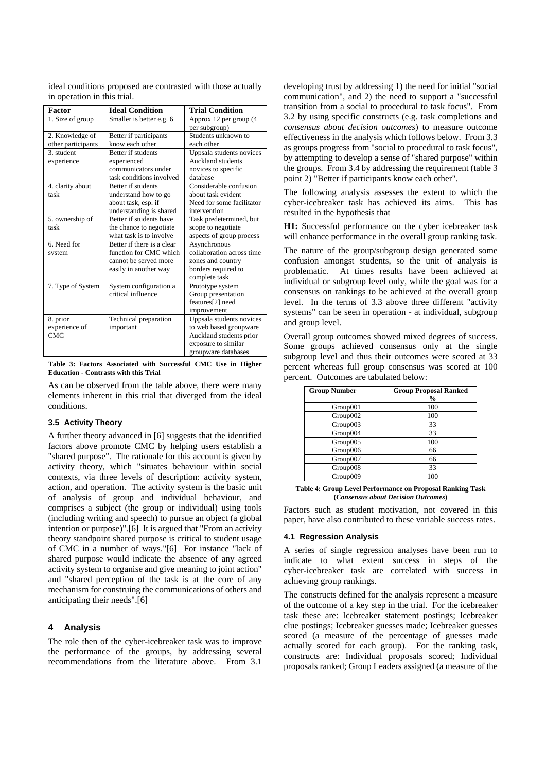| Factor                                                       | <b>Ideal Condition</b> | <b>Trial Condition</b> |  |  |  |
|--------------------------------------------------------------|------------------------|------------------------|--|--|--|
| in operation in this trial.                                  |                        |                        |  |  |  |
| ideal conditions proposed are contrasted with those actually |                        |                        |  |  |  |

| .                  | rucar Comunon              | птаголишт                 |
|--------------------|----------------------------|---------------------------|
| 1. Size of group   | Smaller is better e.g. 6   | Approx 12 per group (4    |
|                    |                            | per subgroup)             |
| 2. Knowledge of    | Better if participants     | Students unknown to       |
| other participants | know each other            | each other                |
| 3. student         | Better if students         | Uppsala students novices  |
| experience         | experienced                | <b>Auckland students</b>  |
|                    | communicators under        | novices to specific       |
|                    | task conditions involved   | database                  |
| 4. clarity about   | Better if students         | Considerable confusion    |
| task               | understand how to go       | about task evident        |
|                    | about task, esp. if        | Need for some facilitator |
|                    | understanding is shared    | intervention              |
| 5. ownership of    | Better if students have    | Task predetermined, but   |
| task               | the chance to negotiate    | scope to negotiate        |
|                    | what task is to involve    | aspects of group process  |
| 6. Need for        | Better if there is a clear | Asynchronous              |
| system             | function for CMC which     | collaboration across time |
|                    | cannot be served more      | zones and country         |
|                    | easily in another way      | borders required to       |
|                    |                            | complete task             |
| 7. Type of System  | System configuration a     | Prototype system          |
|                    | critical influence         | Group presentation        |
|                    |                            | features[2] need          |
|                    |                            | improvement               |
| 8. prior           | Technical preparation      | Uppsala students novices  |
| experience of      | important                  | to web based groupware    |
| <b>CMC</b>         |                            | Auckland students prior   |
|                    |                            | exposure to similar       |
|                    |                            | groupware databases       |

**Table 3: Factors Associated with Successful CMC Use in Higher Education - Contrasts with this Trial** 

As can be observed from the table above, there were many elements inherent in this trial that diverged from the ideal conditions.

#### **3.5 Activity Theory**

 $\overline{1}$ 

A further theory advanced in [6] suggests that the identified factors above promote CMC by helping users establish a "shared purpose". The rationale for this account is given by activity theory, which "situates behaviour within social contexts, via three levels of description: activity system, action, and operation. The activity system is the basic unit of analysis of group and individual behaviour, and comprises a subject (the group or individual) using tools (including writing and speech) to pursue an object (a global intention or purpose)".[6] It is argued that "From an activity theory standpoint shared purpose is critical to student usage of CMC in a number of ways."[6] For instance "lack of shared purpose would indicate the absence of any agreed activity system to organise and give meaning to joint action" and "shared perception of the task is at the core of any mechanism for construing the communications of others and anticipating their needs".[6]

## **4 Analysis**

The role then of the cyber-icebreaker task was to improve the performance of the groups, by addressing several recommendations from the literature above. From 3.1

developing trust by addressing 1) the need for initial "social communication", and 2) the need to support a "successful transition from a social to procedural to task focus". From 3.2 by using specific constructs (e.g. task completions and *consensus about decision outcomes*) to measure outcome effectiveness in the analysis which follows below. From 3.3 as groups progress from "social to procedural to task focus", by attempting to develop a sense of "shared purpose" within the groups. From 3.4 by addressing the requirement (table 3 point 2) "Better if participants know each other".

The following analysis assesses the extent to which the cyber-icebreaker task has achieved its aims. This has resulted in the hypothesis that

**H1:** Successful performance on the cyber icebreaker task will enhance performance in the overall group ranking task.

The nature of the group/subgroup design generated some confusion amongst students, so the unit of analysis is problematic. At times results have been achieved at individual or subgroup level only, while the goal was for a consensus on rankings to be achieved at the overall group level. In the terms of 3.3 above three different "activity systems" can be seen in operation - at individual, subgroup and group level.

Overall group outcomes showed mixed degrees of success. Some groups achieved consensus only at the single subgroup level and thus their outcomes were scored at 33 percent whereas full group consensus was scored at 100 percent. Outcomes are tabulated below:

| <b>Group Number</b> | <b>Group Proposal Ranked</b><br>$\frac{0}{0}$ |
|---------------------|-----------------------------------------------|
| Group001            | 100                                           |
| Group002            | 100                                           |
| Group003            | 33                                            |
| Group004            | 33                                            |
| Group005            | 100                                           |
| Group006            | 66                                            |
| Group007            | 66                                            |
| Group008            | 33                                            |
| Group009            | 100                                           |

#### **Table 4: Group Level Performance on Proposal Ranking Task (***Consensus about Decision Outcomes***)**

Factors such as student motivation, not covered in this paper, have also contributed to these variable success rates.

#### **4.1 Regression Analysis**

A series of single regression analyses have been run to indicate to what extent success in steps of the cyber-icebreaker task are correlated with success in achieving group rankings.

The constructs defined for the analysis represent a measure of the outcome of a key step in the trial. For the icebreaker task these are: Icebreaker statement postings; Icebreaker clue postings; Icebreaker guesses made; Icebreaker guesses scored (a measure of the percentage of guesses made actually scored for each group). For the ranking task, constructs are: Individual proposals scored; Individual proposals ranked; Group Leaders assigned (a measure of the